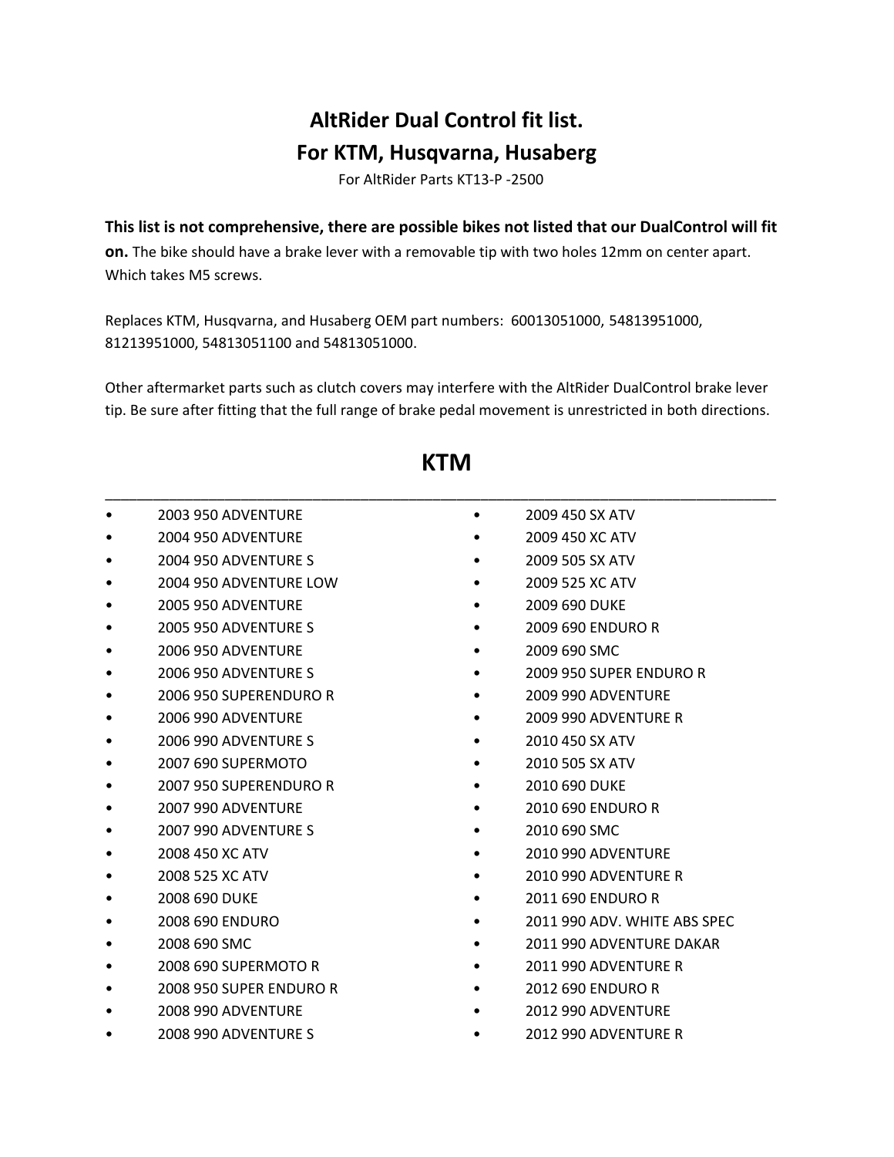## **AltRider Dual Control fit list. For KTM, Husqvarna, Husaberg**

For AltRider Parts KT13‐P ‐2500

**This list is not comprehensive, there are possible bikes not listed that our DualControl will fit**

**on.** The bike should have a brake lever with a removable tip with two holes 12mm on center apart. Which takes M5 screws.

Replaces KTM, Husqvarna, and Husaberg OEM part numbers: 60013051000, 54813951000, 81213951000, 54813051100 and 54813051000.

Other aftermarket parts such as clutch covers may interfere with the AltRider DualControl brake lever tip. Be sure after fitting that the full range of brake pedal movement is unrestricted in both directions.

| <b>2003 950 ADVENTURE</b> | $\bullet$ | 2009 450 SX ATV              |
|---------------------------|-----------|------------------------------|
| 2004 950 ADVENTURE        |           | 2009 450 XC ATV              |
| 2004 950 ADVENTURE S      |           | 2009 505 SX ATV              |
| 2004 950 ADVENTURE LOW    |           | 2009 525 XC ATV              |
| <b>2005 950 ADVENTURE</b> |           | 2009 690 DUKE                |
| 2005 950 ADVENTURE S      |           | 2009 690 ENDURO R            |
| 2006 950 ADVENTURE        |           | 2009 690 SMC                 |
| 2006 950 ADVENTURE S      |           | 2009 950 SUPER ENDURO R      |
| 2006 950 SUPERENDURO R    |           | 2009 990 ADVENTURE           |
| <b>2006 990 ADVENTURE</b> |           | 2009 990 ADVENTURE R         |
| 2006 990 ADVENTURE S      |           | 2010 450 SX ATV              |
| 2007 690 SUPERMOTO        |           | 2010 505 SX ATV              |
| 2007 950 SUPERENDURO R    |           | 2010 690 DUKE                |
| 2007 990 ADVENTURE        |           | 2010 690 ENDURO R            |
| 2007 990 ADVENTURE S      |           | 2010 690 SMC                 |
| 2008 450 XC ATV           |           | <b>2010 990 ADVENTURE</b>    |
| 2008 525 XC ATV           |           | 2010 990 ADVENTURE R         |
| 2008 690 DUKE             |           | 2011 690 ENDURO R            |
| 2008 690 ENDURO           |           | 2011 990 ADV. WHITE ABS SPEC |
| 2008 690 SMC              |           | 2011 990 ADVENTURE DAKAR     |
| 2008 690 SUPERMOTO R      |           | 2011 990 ADVENTURE R         |
| 2008 950 SUPER ENDURO R   |           | 2012 690 ENDURO R            |
| <b>2008 990 ADVENTURE</b> |           | 2012 990 ADVENTURE           |
| 2008 990 ADVENTURE S      | $\bullet$ | 2012 990 ADVENTURE R         |

## **KTM**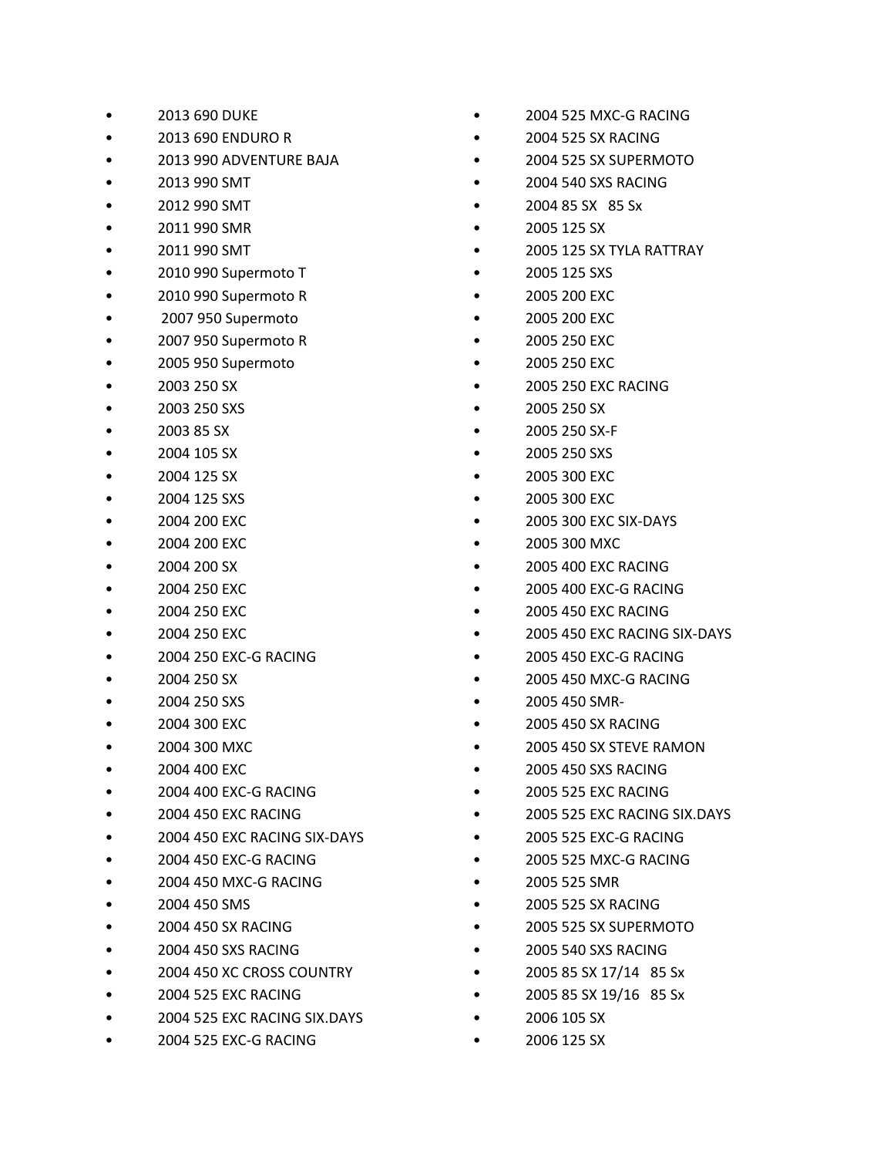- 2013 690 DUKE
- 2013 690 ENDURO R
- 2013 990 ADVENTURE BAJA
- 2013 990 SMT
- 2012 990 SMT
- 2011 990 SMR
- 2011 990 SMT
- 2010 990 Supermoto T
- 2010 990 Supermoto R
- 2007 950 Supermoto
- 2007 950 Supermoto R
- 2005 950 Supermoto
- 2003 250 SX
- 2003 250 SXS
- 2003 85 SX
- 2004 105 SX
- 2004 125 SX
- 2004 125 SXS
- 2004 200 EXC
- 2004 200 EXC
- 2004 200 SX
- 2004 250 EXC
- 2004 250 EXC
- 2004 250 EXC
- 2004 250 EXC-G RACING
- 2004 250 SX
- 2004 250 SXS
- 2004 300 EXC
- 2004 300 MXC
- 2004 400 EXC
- 2004 400 EXC-G RACING
- 2004 450 EXC RACING
- 2004 450 EXC RACING SIX-DAYS
- 2004 450 EXC-G RACING
- 2004 450 MXC-G RACING
- 2004 450 SMS
- 2004 450 SX RACING
- 2004 450 SXS RACING
- 2004 450 XC CROSS COUNTRY
- 2004 525 EXC RACING
- 2004 525 EXC RACING SIX.DAYS
- 2004 525 EXC-G RACING
- 2004 525 MXC‐G RACING
- 2004 525 SX RACING
- 2004 525 SX SUPERMOTO
- 2004 540 SXS RACING
- 2004 85 SX 85 Sx
- 2005 125 SX
- 2005 125 SX TYLA RATTRAY
- 2005 125 SXS
- 2005 200 EXC
- 2005 200 EXC
- 2005 250 EXC
- 2005 250 EXC
- 2005 250 EXC RACING
- 2005 250 SX
- 2005 250 SX‐F
- 2005 250 SXS
- 2005 300 EXC
- 2005 300 EXC
- 2005 300 EXC SIX‐DAYS
- 2005 300 MXC
- 2005 400 EXC RACING
- 2005 400 EXC-G RACING
- 2005 450 EXC RACING
- 2005 450 EXC RACING SIX‐DAYS
- 2005 450 EXC-G RACING
- 2005 450 MXC‐G RACING
- 2005 450 SMR‐
- 2005 450 SX RACING
- 2005 450 SX STEVE RAMON
- 2005 450 SXS RACING
- 2005 525 EXC RACING
- 2005 525 EXC RACING SIX.DAYS
- 2005 525 EXC‐G RACING
- 2005 525 MXC-G RACING
- 2005 525 SMR
- 2005 525 SX RACING
- 2005 525 SX SUPERMOTO
- 2005 540 SXS RACING
- 2005 85 SX 17/14 85 Sx
- 2005 85 SX 19/16 85 Sx
- 2006 105 SX
- 2006 125 SX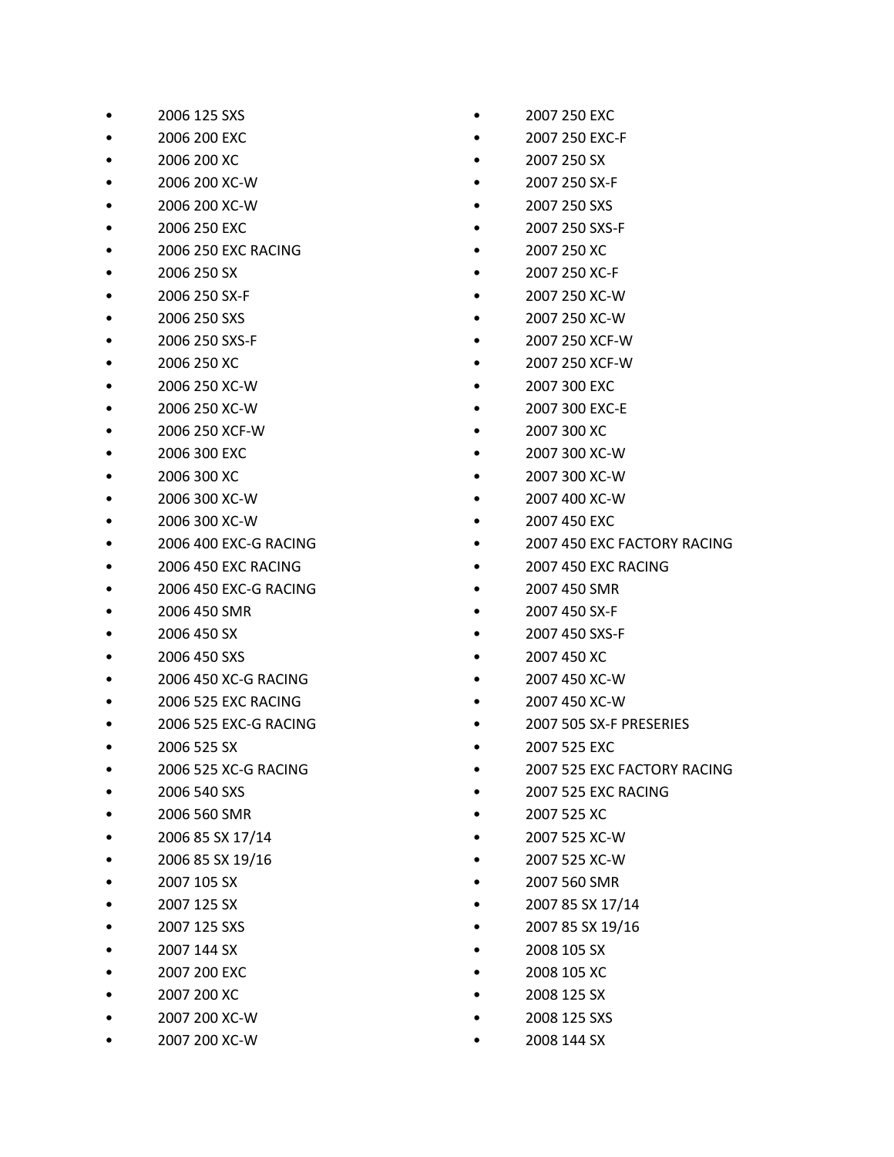- 2006 125 SXS
- 2006 200 EXC
- 2006 200 XC
- 2006 200 XC‐W
- 2006 200 XC-W
- 2006 250 EXC
- 2006 250 EXC RACING
- 2006 250 SX
- 2006 250 SX‐F
- 2006 250 SXS
- 2006 250 SXS-F
- 2006 250 XC
- 2006 250 XC‐W
- 2006 250 XC‐W
- 2006 250 XCF‐W
- 2006 300 EXC
- 2006 300 XC
- 2006 300 XC‐W
- 2006 300 XC‐W
- 2006 400 EXC-G RACING
- 2006 450 EXC RACING
- 2006 450 EXC-G RACING
- 2006 450 SMR
- 2006 450 SX
- 2006 450 SXS
- 2006 450 XC-G RACING
- 2006 525 EXC RACING
- 2006 525 EXC-G RACING
- 2006 525 SX
- 2006 525 XC-G RACING
- 2006 540 SXS
- 2006 560 SMR
- $\bullet$  2006 85 SX 17/14
- 2006 85 SX 19/16
- 2007 105 SX
- 2007 125 SX
- 2007 125 SXS
- 2007 144 SX
- 2007 200 EXC
- 2007 200 XC
- 2007 200 XC‐W
- 2007 200 XC‐W
- 2007 250 EXC
- 2007 250 EXC‐F
- 2007 250 SX
- 2007 250 SX‐F
- 2007 250 SXS
- 2007 250 SXS‐F
- 2007 250 XC
- 2007 250 XC‐F
- 2007 250 XC‐W
- 2007 250 XC‐W
- 2007 250 XCF‐W
- 2007 250 XCF‐W
- 2007 300 EXC
- 2007 300 EXC‐E
- 2007 300 XC
- 2007 300 XC‐W
- 2007 300 XC‐W
- 2007 400 XC‐W
- 2007 450 EXC
- 2007 450 EXC FACTORY RACING
- 2007 450 EXC RACING
- 2007 450 SMR
- 2007 450 SX‐F
- 2007 450 SXS‐F
- 2007 450 XC
- 2007 450 XC‐W
- 2007 450 XC‐W
- 2007 505 SX‐F PRESERIES
- 2007 525 EXC
- 2007 525 EXC FACTORY RACING
- 2007 525 EXC RACING
- 2007 525 XC
- 2007 525 XC‐W
- 2007 525 XC‐W
- 2007 560 SMR
- 2007 85 SX 17/14
- 2007 85 SX 19/16
- 2008 105 SX
- 2008 105 XC
- 2008 125 SX
- 2008 125 SXS
- 2008 144 SX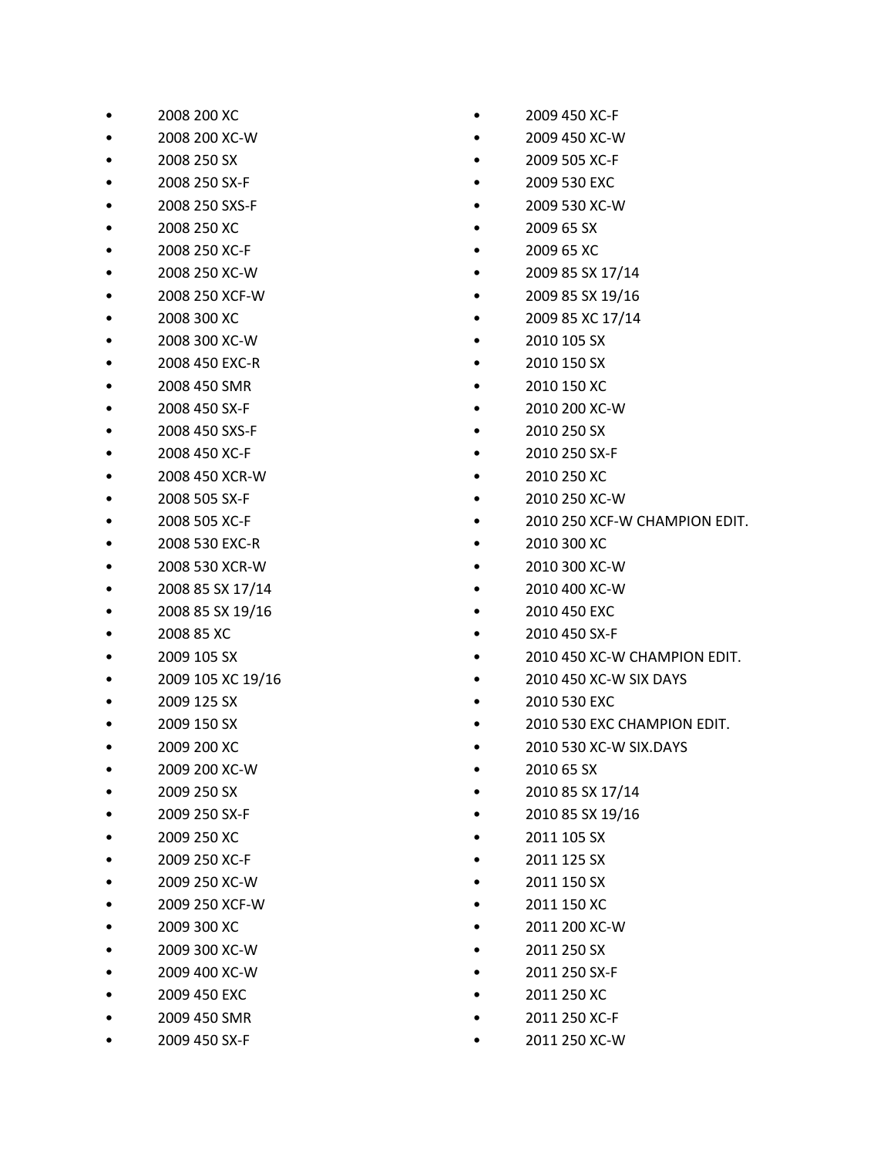• 2008 200 XC

• 2008 250 SX • 2008 250 SX‐F • 2008 250 SXS-F • 2008 250 XC • 2008 250 XC‐F • 2008 250 XC‐W • 2008 250 XCF‐W • 2008 300 XC • 2008 300 XC‐W • 2008 450 EXC-R

- 
- 

• 2008 450 SMR

• 2009 105 XC 19/16

• 2009 400 XC‐W • 2009 450 EXC

• 2009 450 SMR • 2009 450 SX‐F

• 2009 125 SX • 2009 150 SX • 2009 200 XC • 2009 200 XC‐W • 2009 250 SX • 2009 250 SX‐F • 2009 250 XC • 2009 250 XC‐F • 2009 250 XC‐W • 2009 250 XCF-W • 2009 300 XC • 2009 300 XC‐W

• 2008 450 SX‐F • 2008 450 SXS‐F • 2008 450 XC-F • 2008 450 XCR‐W • 2008 505 SX‐F • 2008 505 XC-F • 2008 530 EXC‐R • 2008 530 XCR-W • 2008 85 SX 17/14 • 2008 85 SX 19/16 • 2008 85 XC • 2009 105 SX

• 2008 200 XC‐W

- 2009 65 SX • 2009 65 XC
	-

• 2009 85 XC 17/14 • 2010 105 SX • 2010 150 SX • 2010 150 XC • 2010 200 XC‐W • 2010 250 SX

• 2010 250 SX‐F

• 2010 250 XC • 2010 250 XC‐W

• 2010 300 XC • 2010 300 XC‐W

• 2010 450 SX‐F

• 2010 400 XC-W • 2010 450 EXC

• 2009 85 SX 17/14 • 2009 85 SX 19/16

- 
- 
- 2009 530 XC‐W
- 
- 2009 530 EXC
- 
- 
- 
- 
- 
- 2009 505 XC‐F
- 
- 2009 450 XC‐W
- 
- 2009 450 XC-F
- 

• 2010 450 XC‐W SIX DAYS • 2010 530 EXC

• 2010 450 XC-W CHAMPION EDIT.

• 2010 250 XCF‐W CHAMPION EDIT.

- 2010 530 EXC CHAMPION EDIT.
- 2010 530 XC‐W SIX.DAYS
- 2010 65 SX
- 2010 85 SX 17/14
- 
- 2010 85 SX 19/16
- 2011 105 SX
- 2011 125 SX
- 2011 150 SX
- 2011 150 XC
- 2011 200 XC‐W
- 2011 250 SX
- 2011 250 SX‐F
- 2011 250 XC
- 2011 250 XC‐F
- 2011 250 XC-W